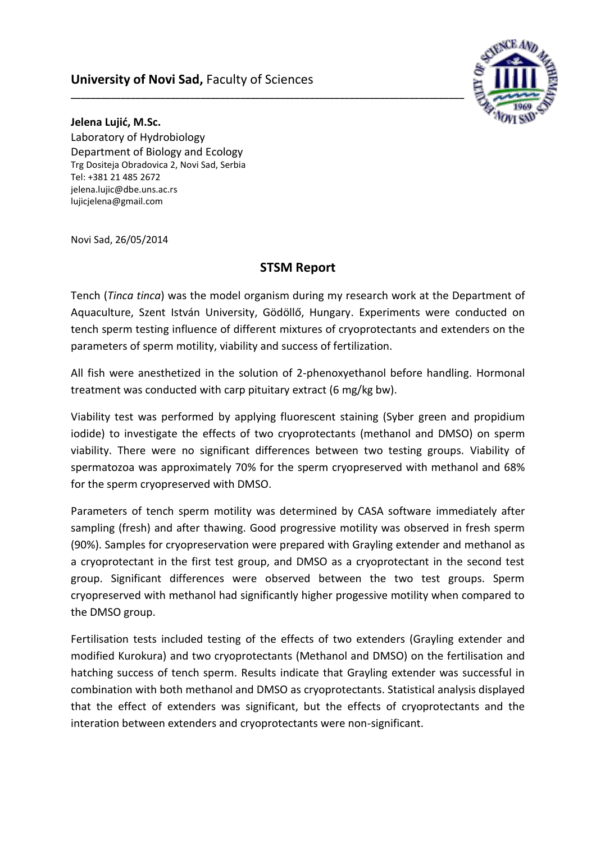## **University of Novi Sad,** Faculty of Sciences



**Jelena Lujić, M.Sc.** Laboratory of Hydrobiology Department of Biology and Ecology Trg Dositeja Obradovica 2, Novi Sad, Serbia Tel: +381 21 485 2672 [jelena.lujic@dbe.uns.ac.rs](mailto:jelena.lujic@dbe.uns.ac.rs) [lujicjelena@gmail.com](mailto:lujicjelena@gmail.com)

Novi Sad, 26/05/2014

## **STSM Report**

**\_\_\_\_\_\_\_\_\_\_\_\_\_\_\_\_\_\_\_\_\_\_\_\_\_\_\_\_\_\_\_\_\_\_\_\_\_\_\_\_\_\_\_\_\_\_\_\_\_\_\_\_\_\_\_\_\_\_\_\_\_\_\_\_\_\_\_\_\_\_\_\_\_\_\_\_\_\_\_**

Tench (*Tinca tinca*) was the model organism during my research work at the Department of Aquaculture, Szent István University, Gödöllő, Hungary. Experiments were conducted on tench sperm testing influence of different mixtures of cryoprotectants and extenders on the parameters of sperm motility, viability and success of fertilization.

All fish were anesthetized in the solution of 2-phenoxyethanol before handling. Hormonal treatment was conducted with carp pituitary extract (6 mg/kg bw).

Viability test was performed by applying fluorescent staining (Syber green and propidium iodide) to investigate the effects of two cryoprotectants (methanol and DMSO) on sperm viability. There were no significant differences between two testing groups. Viability of spermatozoa was approximately 70% for the sperm cryopreserved with methanol and 68% for the sperm cryopreserved with DMSO.

Parameters of tench sperm motility was determined by CASA software immediately after sampling (fresh) and after thawing. Good progressive motility was observed in fresh sperm (90%). Samples for cryopreservation were prepared with Grayling extender and methanol as a cryoprotectant in the first test group, and DMSO as a cryoprotectant in the second test group. Significant differences were observed between the two test groups. Sperm cryopreserved with methanol had significantly higher progessive motility when compared to the DMSO group.

Fertilisation tests included testing of the effects of two extenders (Grayling extender and modified Kurokura) and two cryoprotectants (Methanol and DMSO) on the fertilisation and hatching success of tench sperm. Results indicate that Grayling extender was successful in combination with both methanol and DMSO as cryoprotectants. Statistical analysis displayed that the effect of extenders was significant, but the effects of cryoprotectants and the interation between extenders and cryoprotectants were non-significant.